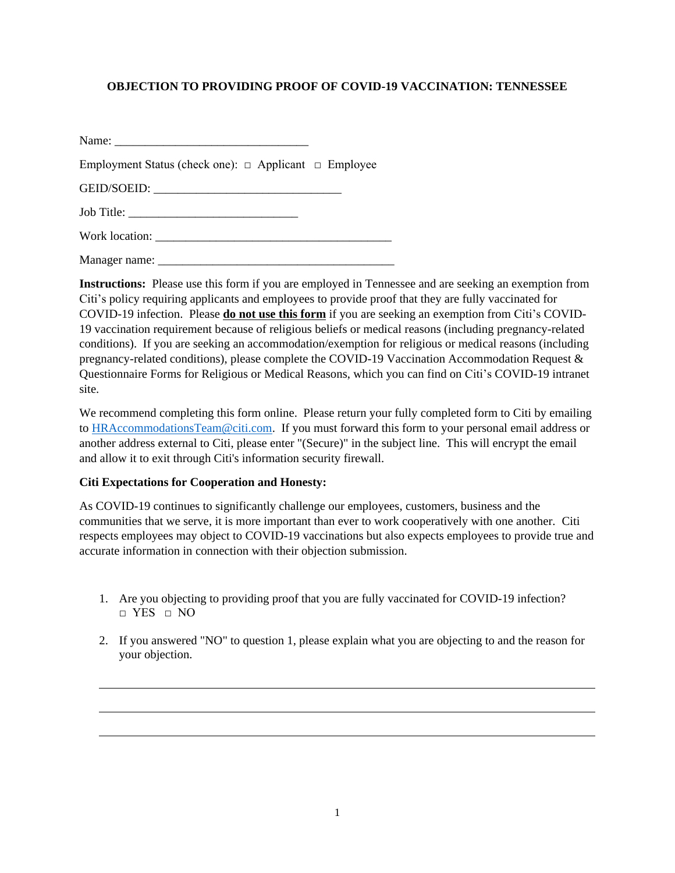## **OBJECTION TO PROVIDING PROOF OF COVID-19 VACCINATION: TENNESSEE**

| Employment Status (check one): $\Box$ Applicant $\Box$ Employee |  |
|-----------------------------------------------------------------|--|
| GEID/SOEID:                                                     |  |
|                                                                 |  |

Work location: \_\_\_\_\_\_\_\_\_\_\_\_\_\_\_\_\_\_\_\_\_\_\_\_\_\_\_\_\_\_\_\_\_\_\_\_\_\_\_

Manager name:

**Instructions:** Please use this form if you are employed in Tennessee and are seeking an exemption from Citi's policy requiring applicants and employees to provide proof that they are fully vaccinated for COVID-19 infection. Please **do not use this form** if you are seeking an exemption from Citi's COVID-19 vaccination requirement because of religious beliefs or medical reasons (including pregnancy-related conditions). If you are seeking an accommodation/exemption for religious or medical reasons (including pregnancy-related conditions), please complete the COVID-19 Vaccination Accommodation Request & Questionnaire Forms for Religious or Medical Reasons, which you can find on Citi's COVID-19 intranet site.

We recommend completing this form online. Please return your fully completed form to Citi by emailing to [HRAccommodationsTeam@citi.com.](mailto:NAMHRPS-COVID@imcnam.ssmb.com) If you must forward this form to your personal email address or another address external to Citi, please enter "(Secure)" in the subject line. This will encrypt the email and allow it to exit through Citi's information security firewall.

## **Citi Expectations for Cooperation and Honesty:**

As COVID-19 continues to significantly challenge our employees, customers, business and the communities that we serve, it is more important than ever to work cooperatively with one another. Citi respects employees may object to COVID-19 vaccinations but also expects employees to provide true and accurate information in connection with their objection submission.

- 1. Are you objecting to providing proof that you are fully vaccinated for COVID-19 infection? □ YES □ NO
- 2. If you answered "NO" to question 1, please explain what you are objecting to and the reason for your objection.